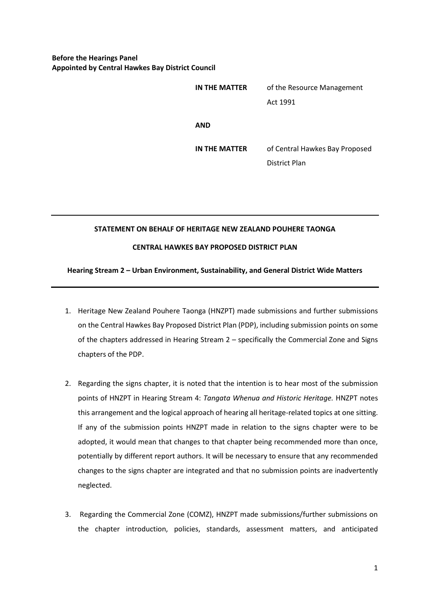## **Before the Hearings Panel Appointed by Central Hawkes Bay District Council**

| IN THE MATTER | of the Resource Management                      |
|---------------|-------------------------------------------------|
|               | Act 1991                                        |
| AND           |                                                 |
| IN THE MATTER | of Central Hawkes Bay Proposed<br>District Plan |
|               |                                                 |

## **STATEMENT ON BEHALF OF HERITAGE NEW ZEALAND POUHERE TAONGA**

## **CENTRAL HAWKES BAY PROPOSED DISTRICT PLAN**

## **Hearing Stream 2 – Urban Environment, Sustainability, and General District Wide Matters**

- 1. Heritage New Zealand Pouhere Taonga (HNZPT) made submissions and further submissions on the Central Hawkes Bay Proposed District Plan (PDP), including submission points on some of the chapters addressed in Hearing Stream 2 – specifically the Commercial Zone and Signs chapters of the PDP.
- 2. Regarding the signs chapter, it is noted that the intention is to hear most of the submission points of HNZPT in Hearing Stream 4: *Tangata Whenua and Historic Heritage.* HNZPT notes this arrangement and the logical approach of hearing all heritage-related topics at one sitting. If any of the submission points HNZPT made in relation to the signs chapter were to be adopted, it would mean that changes to that chapter being recommended more than once, potentially by different report authors. It will be necessary to ensure that any recommended changes to the signs chapter are integrated and that no submission points are inadvertently neglected.
- 3. Regarding the Commercial Zone (COMZ), HNZPT made submissions/further submissions on the chapter introduction, policies, standards, assessment matters, and anticipated